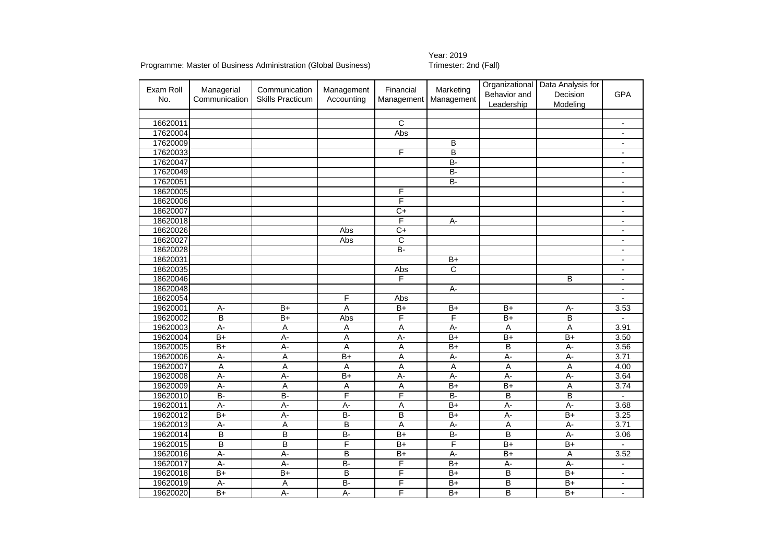Programme: Master of Business Administration (Global Business)

## Year: 2019<br>Trimester: 2nd (Fall)

| Exam Roll<br>No. | Managerial<br>Communication | Communication<br><b>Skills Practicum</b> | Management<br>Accounting | Financial<br>Management | Marketing<br>Management | Organizational<br>Behavior and<br>Leadership | Data Analysis for<br>Decision<br>Modeling | <b>GPA</b>               |
|------------------|-----------------------------|------------------------------------------|--------------------------|-------------------------|-------------------------|----------------------------------------------|-------------------------------------------|--------------------------|
|                  |                             |                                          |                          |                         |                         |                                              |                                           |                          |
| 16620011         |                             |                                          |                          | $\overline{\text{c}}$   |                         |                                              |                                           |                          |
| 17620004         |                             |                                          |                          | Abs                     |                         |                                              |                                           | $\blacksquare$           |
| 17620009         |                             |                                          |                          |                         | B                       |                                              |                                           | $\overline{\phantom{a}}$ |
| 17620033         |                             |                                          |                          | F                       | $\overline{\mathsf{B}}$ |                                              |                                           | $\overline{\phantom{a}}$ |
| 17620047         |                             |                                          |                          |                         | $\overline{B}$          |                                              |                                           |                          |
| 17620049         |                             |                                          |                          |                         | $B -$                   |                                              |                                           | $\overline{\phantom{a}}$ |
| 17620051         |                             |                                          |                          |                         | B-                      |                                              |                                           | $\overline{\phantom{a}}$ |
| 18620005         |                             |                                          |                          | F                       |                         |                                              |                                           | $\blacksquare$           |
| 18620006         |                             |                                          |                          | F                       |                         |                                              |                                           |                          |
| 18620007         |                             |                                          |                          | $C+$                    |                         |                                              |                                           | $\overline{\phantom{a}}$ |
| 18620018         |                             |                                          |                          | $\overline{F}$          | А-                      |                                              |                                           | $\overline{\phantom{a}}$ |
| 18620026         |                             |                                          | Abs                      | $\overline{C+}$         |                         |                                              |                                           | $\overline{a}$           |
| 18620027         |                             |                                          | Abs                      | C                       |                         |                                              |                                           |                          |
| 18620028         |                             |                                          |                          | B-                      |                         |                                              |                                           | $\blacksquare$           |
| 18620031         |                             |                                          |                          |                         | $B+$                    |                                              |                                           |                          |
| 18620035         |                             |                                          |                          | Abs                     | $\overline{\text{c}}$   |                                              |                                           | $\blacksquare$           |
| 18620046         |                             |                                          |                          | F                       |                         |                                              | $\overline{B}$                            |                          |
| 18620048         |                             |                                          |                          |                         | $A -$                   |                                              |                                           | $\blacksquare$           |
| 18620054         |                             |                                          | F                        | Abs                     |                         |                                              |                                           |                          |
| 19620001         | $A -$                       | $\overline{B+}$                          | $\overline{A}$           | $B+$                    | $B+$                    | $B+$                                         | $A -$                                     | 3.53                     |
| 19620002         | B                           | $\overline{B+}$                          | Abs                      | F                       | F                       | $B+$                                         | B                                         |                          |
| 19620003         | $\overline{A}$ -            | Α                                        | $\overline{A}$           | Α                       | $A -$                   | $\overline{A}$                               | Α                                         | 3.91                     |
| 19620004         | $B+$                        | $A -$                                    | Α                        | $\overline{A}$ -        | $B+$                    | $B+$                                         | $B+$                                      | 3.50                     |
| 19620005         | $B+$                        | $A -$                                    | A                        | Α                       | $B+$                    | B                                            | A-                                        | 3.56                     |
| 19620006         | A-                          | A                                        | $B+$                     | Α                       | A-                      | A-                                           | $A -$                                     | 3.71                     |
| 19620007         | A                           | A                                        | $\overline{A}$           | Α                       | Α                       | $\overline{A}$                               | Α                                         | 4.00                     |
| 19620008         | $A -$                       | $A -$                                    | $\overline{B+}$          | $A -$                   | $A -$                   | A-                                           | $A -$                                     | 3.64                     |
| 19620009         | $A -$                       | Ā                                        | Α                        | A                       | $B+$                    | B+                                           | Ā                                         | 3.74                     |
| 19620010         | $\overline{B}$              | $\overline{B}$                           | F                        | F                       | $\overline{B}$          | B                                            | $\overline{B}$                            |                          |
| 19620011         | A-                          | $A -$                                    | A-                       | A                       | $B+$                    | A-                                           | $A -$                                     | 3.68                     |
| 19620012         | $B+$                        | $A -$                                    | B-                       | B                       | $B+$                    | A-                                           | $\overline{B+}$                           | 3.25                     |
| 19620013         | $A -$                       | A                                        | B                        | A                       | A-                      | A                                            | $A -$                                     | 3.71                     |
| 19620014         | B                           | B                                        | $B -$                    | $\overline{B+}$         | $B -$                   | B                                            | $A -$                                     | 3.06                     |
| 19620015         | B                           | B                                        | F                        | $B+$                    | F                       | $B+$                                         | $B+$                                      |                          |
| 19620016         | $A -$                       | $A -$                                    | B                        | $B+$                    | $A -$                   | $\overline{B+}$                              | Α                                         | 3.52                     |
| 19620017         | $A -$                       | $\overline{A}$                           | B-                       | F                       | $\overline{B+}$         | $A -$                                        | $A -$                                     |                          |
| 19620018         | $B+$                        | $B+$                                     | B                        | F                       | $B+$                    | B                                            | $B+$                                      | $\overline{\phantom{0}}$ |
| 19620019         | А-                          | Α                                        | <b>B-</b>                | F                       | $B+$                    | B                                            | $B+$                                      | $\overline{\phantom{a}}$ |
| 19620020         | $\overline{B+}$             | A-                                       | A-                       | F                       | $\overline{B+}$         | B                                            | $\overline{B+}$                           | $\overline{\phantom{a}}$ |